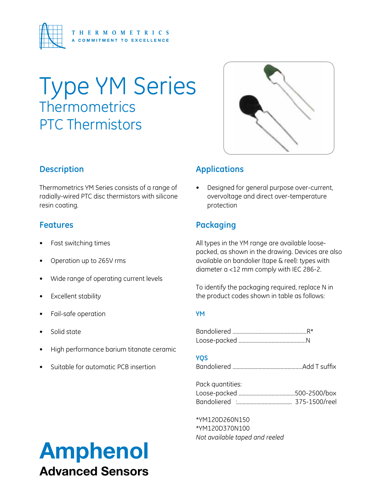

# Type YM Series **Thermometrics** PTC Thermistors



### **Description**

Thermometrics YM Series consists of a range of radially-wired PTC disc thermistors with silicone resin coating.

#### **Features**

- Fast switching times
- Operation up to 265V rms
- Wide range of operating current levels
- **Excellent stability**
- Fail-safe operation
- Solid state
- High performance barium titanate ceramic
- Suitable for automatic PCB insertion

### **Applications**

Designed for general purpose over-current, overvoltage and direct over-temperature protection

### **Packaging**

All types in the YM range are available loosepacked, as shown in the drawing. Devices are also available on bandolier (tape & reel): types with diameter a <12 mm comply with IEC 286-2.

To identify the packaging required, replace N in the product codes shown in table as follows:

#### **YM**

Bandoliered ......................................................R\* Loose-packed .................................................N

#### **YQS**

Bandoliered ...................................................Add T suffix

Pack quantities: Loose-packed .........................................500-2500/box Bandoliered :........................................ 375-1500/reel

\*YM120D260N150 \*YM120D370N100 *Not available taped and reeled*

## Amphenol Advanced Sensors